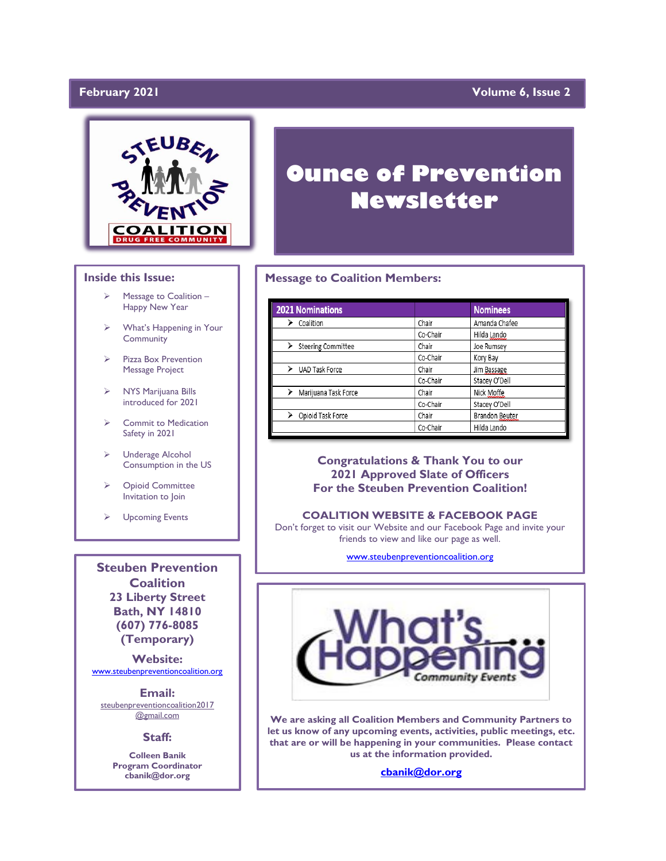## February 2021

## **Yolume 6, Issue 2**



### **Inside this Issue:**

- ➢ Message to Coalition Happy New Year
- What's Happening in Your **Community**
- ➢ Pizza Box Prevention Message Project
- ➢ NYS Marijuana Bills introduced for 2021
- ➢ Commit to Medication Safety in 2021
- ➢ Underage Alcohol Consumption in the US
- ➢ Opioid Committee Invitation to Join
- ➢ Upcoming Events

**Steuben Prevention Coalition 23 Liberty Street Bath, NY 14810 (607) 776-8085 (Temporary)**

**Website:**  [www.steubenpreventioncoalition.org](http://www.steubenpreventioncoalition.org/)

**Email:**  steubenpreventioncoalition2017 @gmail.com

### **Staff:**

**Colleen Banik Program Coordinator cbanik@dor.org**

# **Ounce of Prevention Newsletter**

### **Message to Coalition Members:**

| <b>2021 Nominations</b><br>→ Coalition<br>→ Steering Commit<br>→ UAD Task Force<br>→ Marijuana Task Force<br>→ Opioid Task Forc |          | <b>Nominees</b> |
|---------------------------------------------------------------------------------------------------------------------------------|----------|-----------------|
|                                                                                                                                 | Chair    | Amanda Chafee   |
|                                                                                                                                 | Co-Chair | Hilda Lando     |
| Steering Committee                                                                                                              | Chair    | Joe Rumsey      |
|                                                                                                                                 | Co-Chair | Kory Bay        |
|                                                                                                                                 | Chair    | Jim Bassage     |
|                                                                                                                                 | Co-Chair | Stacey O'Dell   |
| Marijuana Task Force                                                                                                            | Chair    | Nick Moffe      |
|                                                                                                                                 | Co-Chair | Stacey O'Dell   |
| Opioid Task Force                                                                                                               | Chair    | Brandon Beuter  |
|                                                                                                                                 | Co-Chair | Hilda Lando     |

### **Congratulations & Thank You to our 2021 Approved Slate of Officers For the Steuben Prevention Coalition!**

### **COALITION WEBSITE & FACEBOOK PAGE**

Don't forget to visit our Website and our Facebook Page and invite your friends to view and like our page as well.

[www.steubenpreventioncoalition.org](http://www.steubenpreventioncoalition.org/)



**We are asking all Coalition Members and Community Partners to let us know of any upcoming events, activities, public meetings, etc. that are or will be happening in your communities. Please contact us at the information provided.**

**[cbanik@dor.org](mailto:cbanik@dor.org)**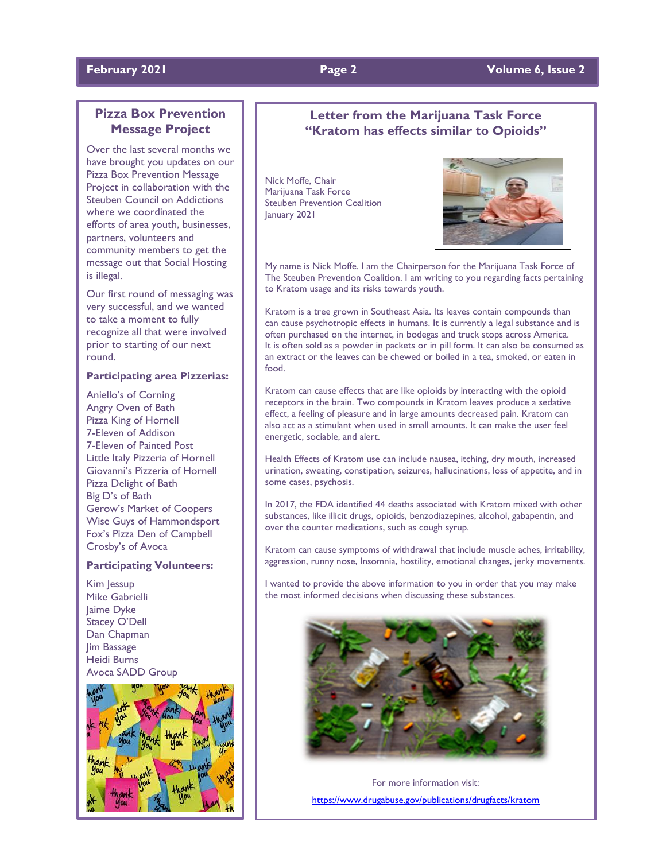# **February 2021 Page 2 Volume 6, Issue 2**

# **Pizza Box Prevention Message Project**

Over the last several months we have brought you updates on our Pizza Box Prevention Message Project in collaboration with the Steuben Council on Addictions where we coordinated the efforts of area youth, businesses, partners, volunteers and community members to get the message out that Social Hosting is illegal.

Our first round of messaging was very successful, and we wanted to take a moment to fully recognize all that were involved prior to starting of our next round.

### **Participating area Pizzerias:**

Aniello's of Corning Angry Oven of Bath Pizza King of Hornell 7-Eleven of Addison 7-Eleven of Painted Post Little Italy Pizzeria of Hornell Giovanni's Pizzeria of Hornell Pizza Delight of Bath Big D's of Bath Gerow's Market of Coopers Wise Guys of Hammondsport Fox's Pizza Den of Campbell Crosby's of Avoca

### **Participating Volunteers:**

Kim Jessup Mike Gabrielli Jaime Dyke Stacey O'Dell Dan Chapman Jim Bassage Heidi Burns Avoca SADD Group



# **Letter from the Marijuana Task Force "Kratom has effects similar to Opioids"**

Nick Moffe, Chair Marijuana Task Force Steuben Prevention Coalition January 2021



My name is Nick Moffe. I am the Chairperson for the Marijuana Task Force of The Steuben Prevention Coalition. I am writing to you regarding facts pertaining to Kratom usage and its risks towards youth.

Kratom is a tree grown in Southeast Asia. Its leaves contain compounds than can cause psychotropic effects in humans. It is currently a legal substance and is often purchased on the internet, in bodegas and truck stops across America. It is often sold as a powder in packets or in pill form. It can also be consumed as an extract or the leaves can be chewed or boiled in a tea, smoked, or eaten in food.

Kratom can cause effects that are like opioids by interacting with the opioid receptors in the brain. Two compounds in Kratom leaves produce a sedative effect, a feeling of pleasure and in large amounts decreased pain. Kratom can also act as a stimulant when used in small amounts. It can make the user feel energetic, sociable, and alert.

Health Effects of Kratom use can include nausea, itching, dry mouth, increased urination, sweating, constipation, seizures, hallucinations, loss of appetite, and in some cases, psychosis.

In 2017, the FDA identified 44 deaths associated with Kratom mixed with other substances, like illicit drugs, opioids, benzodiazepines, alcohol, gabapentin, and over the counter medications, such as cough syrup.

Kratom can cause symptoms of withdrawal that include muscle aches, irritability, aggression, runny nose, Insomnia, hostility, emotional changes, jerky movements.

I wanted to provide the above information to you in order that you may make the most informed decisions when discussing these substances.



For more information visit: <https://www.drugabuse.gov/publications/drugfacts/kratom>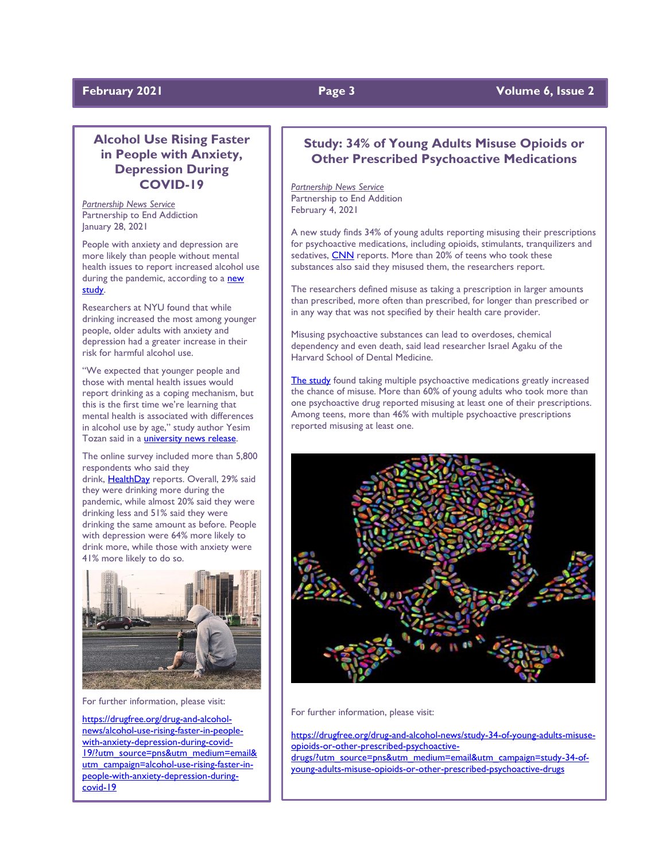# **February** 2021 **Page 3** Volume 6, Issue 2

# **Alcohol Use Rising Faster in People with Anxiety, Depression During COVID-19**

*Partnership News Service* Partnership to End Addiction January 28, 2021

People with anxiety and depression are more likely than people without mental health issues to report increased alcohol use during the pandemic, according to a new [study.](https://www.sciencedirect.com/science/article/pii/S0091743521000062?via%3Dihub)

Researchers at NYU found that while drinking increased the most among younger people, older adults with anxiety and depression had a greater increase in their risk for harmful alcohol use.

"We expected that younger people and those with mental health issues would report drinking as a coping mechanism, but this is the first time we're learning that mental health is associated with differences in alcohol use by age," study author Yesim Tozan said in a [university news release.](https://www.eurekalert.org/pub_releases/2021-01/nyu-ddc011921.php)

The online survey included more than 5,800 respondents who said they drink, [HealthDay](https://consumer.healthday.com/b-1-21-anxiety-depression-and-drinking-an-unhealthy-combo-during-the-pandemic-2650025460.html) reports. Overall, 29% said they were drinking more during the pandemic, while almost 20% said they were drinking less and 51% said they were drinking the same amount as before. People with depression were 64% more likely to drink more, while those with anxiety were 41% more likely to do so.



For further information, please visit:

[https://drugfree.org/drug-and-alcohol](https://drugfree.org/drug-and-alcohol-news/alcohol-use-rising-faster-in-people-with-anxiety-depression-during-covid-19/?utm_source=pns&utm_medium=email&utm_campaign=alcohol-use-rising-faster-in-people-with-anxiety-depression-during-covid-19)[news/alcohol-use-rising-faster-in-people](https://drugfree.org/drug-and-alcohol-news/alcohol-use-rising-faster-in-people-with-anxiety-depression-during-covid-19/?utm_source=pns&utm_medium=email&utm_campaign=alcohol-use-rising-faster-in-people-with-anxiety-depression-during-covid-19)[with-anxiety-depression-during-covid-](https://drugfree.org/drug-and-alcohol-news/alcohol-use-rising-faster-in-people-with-anxiety-depression-during-covid-19/?utm_source=pns&utm_medium=email&utm_campaign=alcohol-use-rising-faster-in-people-with-anxiety-depression-during-covid-19)[19/?utm\\_source=pns&utm\\_medium=email&](https://drugfree.org/drug-and-alcohol-news/alcohol-use-rising-faster-in-people-with-anxiety-depression-during-covid-19/?utm_source=pns&utm_medium=email&utm_campaign=alcohol-use-rising-faster-in-people-with-anxiety-depression-during-covid-19) [utm\\_campaign=alcohol-use-rising-faster-in](https://drugfree.org/drug-and-alcohol-news/alcohol-use-rising-faster-in-people-with-anxiety-depression-during-covid-19/?utm_source=pns&utm_medium=email&utm_campaign=alcohol-use-rising-faster-in-people-with-anxiety-depression-during-covid-19)[people-with-anxiety-depression-during](https://drugfree.org/drug-and-alcohol-news/alcohol-use-rising-faster-in-people-with-anxiety-depression-during-covid-19/?utm_source=pns&utm_medium=email&utm_campaign=alcohol-use-rising-faster-in-people-with-anxiety-depression-during-covid-19)[covid-19](https://drugfree.org/drug-and-alcohol-news/alcohol-use-rising-faster-in-people-with-anxiety-depression-during-covid-19/?utm_source=pns&utm_medium=email&utm_campaign=alcohol-use-rising-faster-in-people-with-anxiety-depression-during-covid-19)

# **Study: 34% of Young Adults Misuse Opioids or Other Prescribed Psychoactive Medications**

*Partnership News Service* Partnership to End Addition February 4, 2021

A new study finds 34% of young adults reporting misusing their prescriptions for psychoactive medications, including opioids, stimulants, tranquilizers and sedatives, [CNN](https://www.cnn.com/2021/02/02/health/psychoactive-drugs-misuse-study-wellness/index.html) reports. More than 20% of teens who took these substances also said they misused them, the researchers report.

The researchers defined misuse as taking a prescription in larger amounts than prescribed, more often than prescribed, for longer than prescribed or in any way that was not specified by their health care provider.

Misusing psychoactive substances can lead to overdoses, chemical dependency and even death, said lead researcher Israel Agaku of the Harvard School of Dental Medicine.

[The study](https://fmch.bmj.com/content/9/1/e000374) found taking multiple psychoactive medications greatly increased the chance of misuse. More than 60% of young adults who took more than one psychoactive drug reported misusing at least one of their prescriptions. Among teens, more than 46% with multiple psychoactive prescriptions reported misusing at least one.



For further information, please visit:

[https://drugfree.org/drug-and-alcohol-news/study-34-of-young-adults-misuse](https://drugfree.org/drug-and-alcohol-news/study-34-of-young-adults-misuse-opioids-or-other-prescribed-psychoactive-drugs/?utm_source=pns&utm_medium=email&utm_campaign=study-34-of-young-adults-misuse-opioids-or-other-prescribed-psychoactive-drugs)[opioids-or-other-prescribed-psychoactive-](https://drugfree.org/drug-and-alcohol-news/study-34-of-young-adults-misuse-opioids-or-other-prescribed-psychoactive-drugs/?utm_source=pns&utm_medium=email&utm_campaign=study-34-of-young-adults-misuse-opioids-or-other-prescribed-psychoactive-drugs)

[drugs/?utm\\_source=pns&utm\\_medium=email&utm\\_campaign=study-34-of](https://drugfree.org/drug-and-alcohol-news/study-34-of-young-adults-misuse-opioids-or-other-prescribed-psychoactive-drugs/?utm_source=pns&utm_medium=email&utm_campaign=study-34-of-young-adults-misuse-opioids-or-other-prescribed-psychoactive-drugs)[young-adults-misuse-opioids-or-other-prescribed-psychoactive-drugs](https://drugfree.org/drug-and-alcohol-news/study-34-of-young-adults-misuse-opioids-or-other-prescribed-psychoactive-drugs/?utm_source=pns&utm_medium=email&utm_campaign=study-34-of-young-adults-misuse-opioids-or-other-prescribed-psychoactive-drugs)